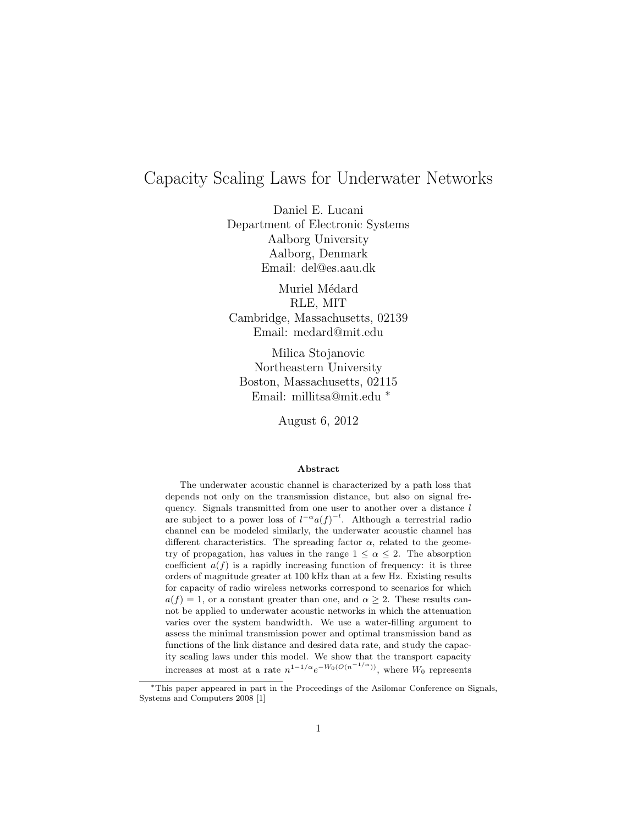## Capacity Scaling Laws for Underwater Networks

Daniel E. Lucani Department of Electronic Systems Aalborg University Aalborg, Denmark Email: del@es.aau.dk

Muriel Médard RLE, MIT Cambridge, Massachusetts, 02139 Email: medard@mit.edu

Milica Stojanovic Northeastern University Boston, Massachusetts, 02115 Email: millitsa@mit.edu <sup>∗</sup>

August 6, 2012

#### Abstract

The underwater acoustic channel is characterized by a path loss that depends not only on the transmission distance, but also on signal frequency. Signals transmitted from one user to another over a distance  $l$ are subject to a power loss of  $l^{-\alpha}a(f)^{-l}$ . Although a terrestrial radio channel can be modeled similarly, the underwater acoustic channel has different characteristics. The spreading factor  $\alpha$ , related to the geometry of propagation, has values in the range  $1 \leq \alpha \leq 2$ . The absorption coefficient  $a(f)$  is a rapidly increasing function of frequency: it is three orders of magnitude greater at 100 kHz than at a few Hz. Existing results for capacity of radio wireless networks correspond to scenarios for which  $a(f) = 1$ , or a constant greater than one, and  $\alpha \geq 2$ . These results cannot be applied to underwater acoustic networks in which the attenuation varies over the system bandwidth. We use a water-filling argument to assess the minimal transmission power and optimal transmission band as functions of the link distance and desired data rate, and study the capacity scaling laws under this model. We show that the transport capacity increases at most at a rate  $n^{1-1/\alpha}e^{-W_0(O(n^{-1/\alpha}))}$ , where  $W_0$  represents

<sup>∗</sup>This paper appeared in part in the Proceedings of the Asilomar Conference on Signals, Systems and Computers 2008 [1]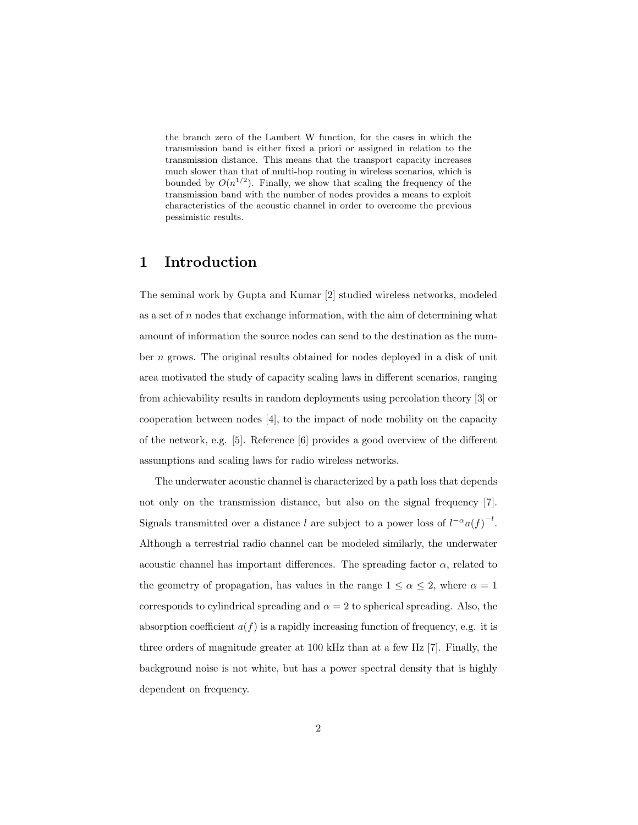the branch zero of the Lambert W function, for the cases in which the transmission band is either fixed a priori or assigned in relation to the transmission distance. This means that the transport capacity increases much slower than that of multi-hop routing in wireless scenarios, which is bounded by  $O(n^{1/2})$ . Finally, we show that scaling the frequency of the transmission band with the number of nodes provides a means to exploit characteristics of the acoustic channel in order to overcome the previous pessimistic results.

## 1 Introduction

The seminal work by Gupta and Kumar [2] studied wireless networks, modeled as a set of  $n$  nodes that exchange information, with the aim of determining what amount of information the source nodes can send to the destination as the number n grows. The original results obtained for nodes deployed in a disk of unit area motivated the study of capacity scaling laws in different scenarios, ranging from achievability results in random deployments using percolation theory [3] or cooperation between nodes [4], to the impact of node mobility on the capacity of the network, e.g. [5]. Reference [6] provides a good overview of the different assumptions and scaling laws for radio wireless networks.

The underwater acoustic channel is characterized by a path loss that depends not only on the transmission distance, but also on the signal frequency [7]. Signals transmitted over a distance l are subject to a power loss of  $l^{-\alpha}a(f)^{-l}$ . Although a terrestrial radio channel can be modeled similarly, the underwater acoustic channel has important differences. The spreading factor  $\alpha$ , related to the geometry of propagation, has values in the range  $1 \leq \alpha \leq 2$ , where  $\alpha = 1$ corresponds to cylindrical spreading and  $\alpha = 2$  to spherical spreading. Also, the absorption coefficient  $a(f)$  is a rapidly increasing function of frequency, e.g. it is three orders of magnitude greater at 100 kHz than at a few Hz [7]. Finally, the background noise is not white, but has a power spectral density that is highly dependent on frequency.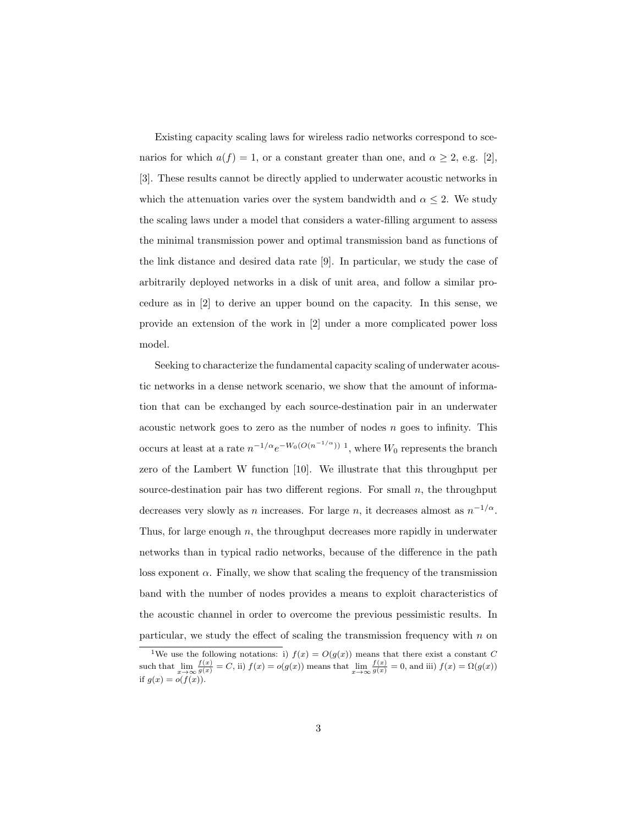Existing capacity scaling laws for wireless radio networks correspond to scenarios for which  $a(f) = 1$ , or a constant greater than one, and  $\alpha \geq 2$ , e.g. [2], [3]. These results cannot be directly applied to underwater acoustic networks in which the attenuation varies over the system bandwidth and  $\alpha \leq 2$ . We study the scaling laws under a model that considers a water-filling argument to assess the minimal transmission power and optimal transmission band as functions of the link distance and desired data rate [9]. In particular, we study the case of arbitrarily deployed networks in a disk of unit area, and follow a similar procedure as in [2] to derive an upper bound on the capacity. In this sense, we provide an extension of the work in [2] under a more complicated power loss model.

Seeking to characterize the fundamental capacity scaling of underwater acoustic networks in a dense network scenario, we show that the amount of information that can be exchanged by each source-destination pair in an underwater acoustic network goes to zero as the number of nodes  $n$  goes to infinity. This occurs at least at a rate  $n^{-1/\alpha}e^{-W_0(O(n^{-1/\alpha}))}$ , where  $W_0$  represents the branch zero of the Lambert W function [10]. We illustrate that this throughput per source-destination pair has two different regions. For small  $n$ , the throughput decreases very slowly as n increases. For large n, it decreases almost as  $n^{-1/\alpha}$ . Thus, for large enough  $n$ , the throughput decreases more rapidly in underwater networks than in typical radio networks, because of the difference in the path loss exponent  $\alpha$ . Finally, we show that scaling the frequency of the transmission band with the number of nodes provides a means to exploit characteristics of the acoustic channel in order to overcome the previous pessimistic results. In particular, we study the effect of scaling the transmission frequency with  $n$  on

<sup>&</sup>lt;sup>1</sup>We use the following notations: i)  $f(x) = O(g(x))$  means that there exist a constant C such that  $\lim_{x\to\infty} \frac{f(x)}{g(x)} = C$ , ii)  $f(x) = o(g(x))$  means that  $\lim_{x\to\infty} \frac{f(x)}{g(x)} = 0$ , and iii)  $f(x) = \Omega(g(x))$ if  $g(x) = o(f(x))$ .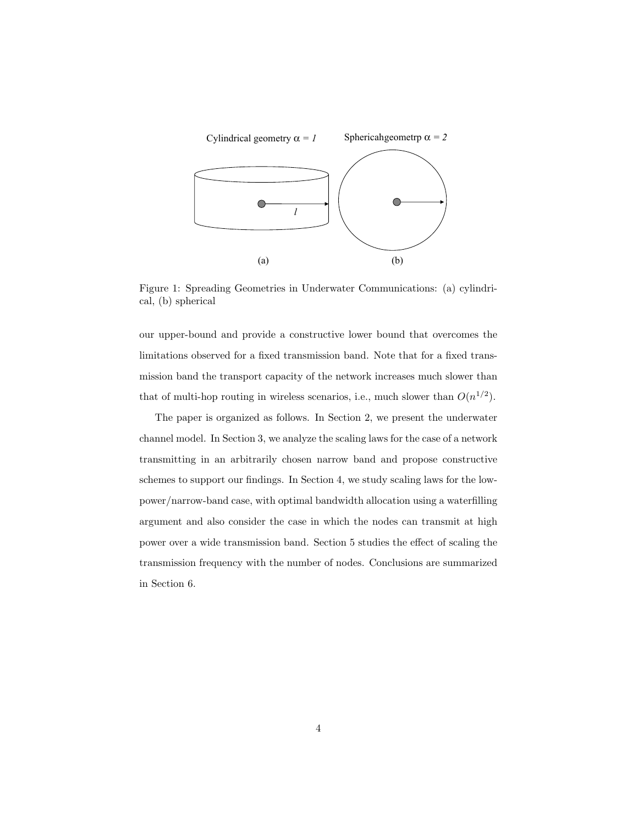

Figure 1: Spreading Geometries in Underwater Communications: (a) cylindrical, (b) spherical

our upper-bound and provide a constructive lower bound that overcomes the limitations observed for a fixed transmission band. Note that for a fixed transmission band the transport capacity of the network increases much slower than that of multi-hop routing in wireless scenarios, i.e., much slower than  $O(n^{1/2})$ .

The paper is organized as follows. In Section 2, we present the underwater channel model. In Section 3, we analyze the scaling laws for the case of a network transmitting in an arbitrarily chosen narrow band and propose constructive schemes to support our findings. In Section 4, we study scaling laws for the lowpower/narrow-band case, with optimal bandwidth allocation using a waterfilling argument and also consider the case in which the nodes can transmit at high power over a wide transmission band. Section 5 studies the effect of scaling the transmission frequency with the number of nodes. Conclusions are summarized in Section 6.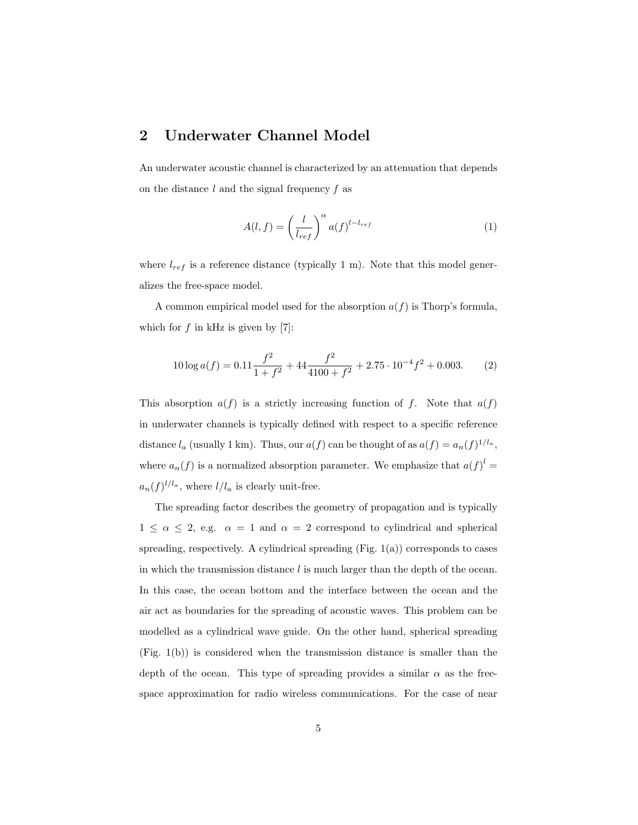## 2 Underwater Channel Model

An underwater acoustic channel is characterized by an attenuation that depends on the distance  $l$  and the signal frequency  $f$  as

$$
A(l,f) = \left(\frac{l}{l_{ref}}\right)^{\alpha} a(f)^{l-l_{ref}} \tag{1}
$$

where  $l_{ref}$  is a reference distance (typically 1 m). Note that this model generalizes the free-space model.

A common empirical model used for the absorption  $a(f)$  is Thorp's formula, which for  $f$  in kHz is given by [7]:

$$
10\log a(f) = 0.11\frac{f^2}{1+f^2} + 44\frac{f^2}{4100+f^2} + 2.75 \cdot 10^{-4}f^2 + 0.003. \tag{2}
$$

This absorption  $a(f)$  is a strictly increasing function of f. Note that  $a(f)$ in underwater channels is typically defined with respect to a specific reference distance  $l_a$  (usually 1 km). Thus, our  $a(f)$  can be thought of as  $a(f) = a_n(f)^{1/l_a}$ , where  $a_n(f)$  is a normalized absorption parameter. We emphasize that  $a(f)^l =$  $a_n(f)^{l/l_a}$ , where  $l/l_a$  is clearly unit-free.

The spreading factor describes the geometry of propagation and is typically  $1 \leq \alpha \leq 2$ , e.g.  $\alpha = 1$  and  $\alpha = 2$  correspond to cylindrical and spherical spreading, respectively. A cylindrical spreading  $(Fig. 1(a))$  corresponds to cases in which the transmission distance  $l$  is much larger than the depth of the ocean. In this case, the ocean bottom and the interface between the ocean and the air act as boundaries for the spreading of acoustic waves. This problem can be modelled as a cylindrical wave guide. On the other hand, spherical spreading (Fig. 1(b)) is considered when the transmission distance is smaller than the depth of the ocean. This type of spreading provides a similar  $\alpha$  as the freespace approximation for radio wireless communications. For the case of near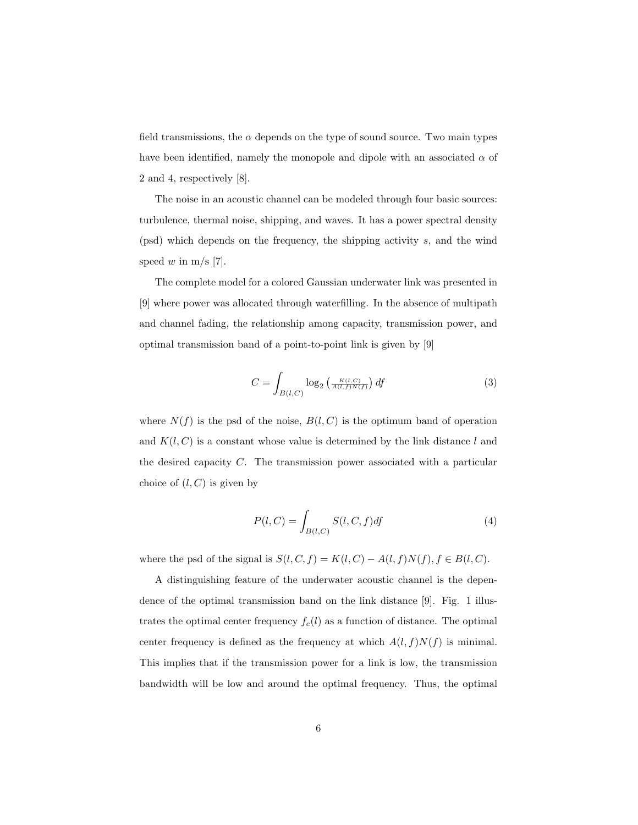field transmissions, the  $\alpha$  depends on the type of sound source. Two main types have been identified, namely the monopole and dipole with an associated  $\alpha$  of 2 and 4, respectively [8].

The noise in an acoustic channel can be modeled through four basic sources: turbulence, thermal noise, shipping, and waves. It has a power spectral density (psd) which depends on the frequency, the shipping activity s, and the wind speed w in m/s [7].

The complete model for a colored Gaussian underwater link was presented in [9] where power was allocated through waterfilling. In the absence of multipath and channel fading, the relationship among capacity, transmission power, and optimal transmission band of a point-to-point link is given by [9]

$$
C = \int_{B(l,C)} \log_2\left(\frac{K(l,C)}{A(l,f)N(f)}\right) df \tag{3}
$$

where  $N(f)$  is the psd of the noise,  $B(l, C)$  is the optimum band of operation and  $K(l, C)$  is a constant whose value is determined by the link distance l and the desired capacity C. The transmission power associated with a particular choice of  $(l, C)$  is given by

$$
P(l,C) = \int_{B(l,C)} S(l,C,f)df
$$
\n(4)

where the psd of the signal is  $S(l, C, f) = K(l, C) - A(l, f)N(f), f \in B(l, C)$ .

A distinguishing feature of the underwater acoustic channel is the dependence of the optimal transmission band on the link distance [9]. Fig. 1 illustrates the optimal center frequency  $f_c(l)$  as a function of distance. The optimal center frequency is defined as the frequency at which  $A(l, f)N(f)$  is minimal. This implies that if the transmission power for a link is low, the transmission bandwidth will be low and around the optimal frequency. Thus, the optimal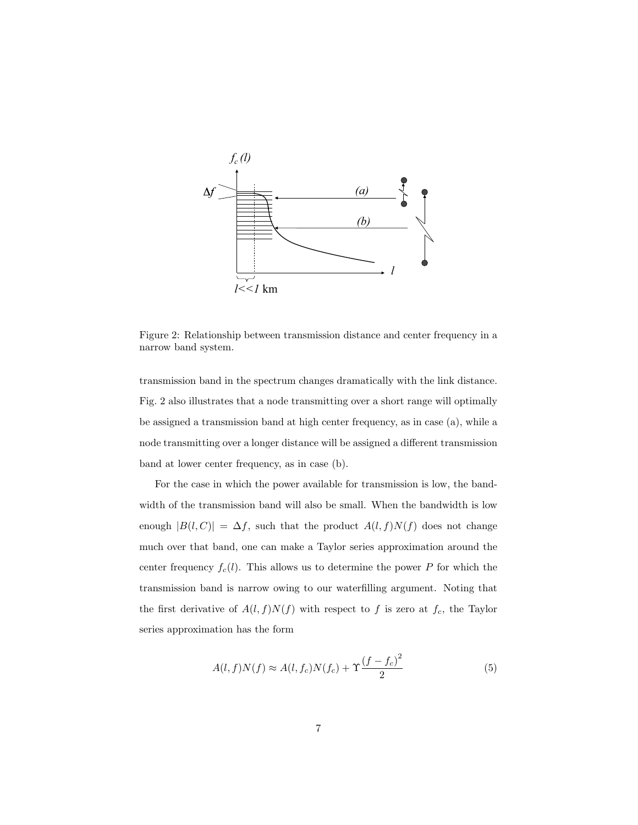

Figure 2: Relationship between transmission distance and center frequency in a narrow band system.

transmission band in the spectrum changes dramatically with the link distance. Fig. 2 also illustrates that a node transmitting over a short range will optimally be assigned a transmission band at high center frequency, as in case (a), while a node transmitting over a longer distance will be assigned a different transmission band at lower center frequency, as in case (b).

For the case in which the power available for transmission is low, the bandwidth of the transmission band will also be small. When the bandwidth is low enough  $|B(l, C)| = \Delta f$ , such that the product  $A(l, f)N(f)$  does not change much over that band, one can make a Taylor series approximation around the center frequency  $f_c(l)$ . This allows us to determine the power P for which the transmission band is narrow owing to our waterfilling argument. Noting that the first derivative of  $A(l, f)N(f)$  with respect to f is zero at  $f_c$ , the Taylor series approximation has the form

$$
A(l, f)N(f) \approx A(l, f_c)N(f_c) + \Upsilon \frac{(f - f_c)^2}{2}
$$
\n
$$
(5)
$$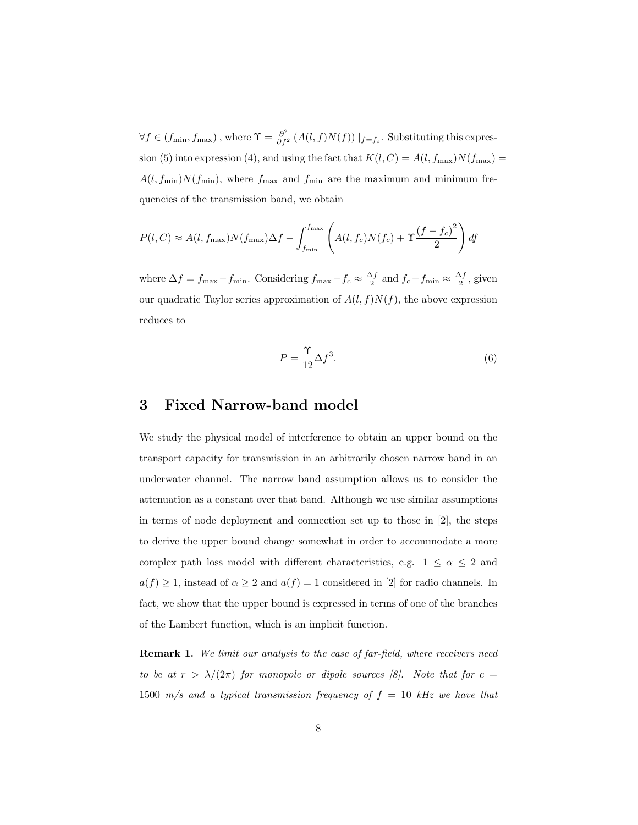$\forall f \in (f_{\min}, f_{\max})$ , where  $\Upsilon = \frac{\partial^2}{\partial f^2} (A(l, f)N(f)) |_{f=f_c}$ . Substituting this expression (5) into expression (4), and using the fact that  $K(l, C) = A(l, f_{\text{max}})N(f_{\text{max}})$  $A(l, f_{\min})N(f_{\min}),$  where  $f_{\max}$  and  $f_{\min}$  are the maximum and minimum frequencies of the transmission band, we obtain

$$
P(l, C) \approx A(l, f_{\text{max}})N(f_{\text{max}})\Delta f - \int_{f_{\text{min}}}^{f_{\text{max}}} \left( A(l, f_c)N(f_c) + \Upsilon \frac{(f - f_c)^2}{2} \right) df
$$

where  $\Delta f = f_{\text{max}} - f_{\text{min}}$ . Considering  $f_{\text{max}} - f_c \approx \frac{\Delta f}{2}$  and  $f_c - f_{\text{min}} \approx \frac{\Delta f}{2}$ , given our quadratic Taylor series approximation of  $A(l, f)N(f)$ , the above expression reduces to

$$
P = \frac{\Upsilon}{12} \Delta f^3. \tag{6}
$$

### 3 Fixed Narrow-band model

We study the physical model of interference to obtain an upper bound on the transport capacity for transmission in an arbitrarily chosen narrow band in an underwater channel. The narrow band assumption allows us to consider the attenuation as a constant over that band. Although we use similar assumptions in terms of node deployment and connection set up to those in [2], the steps to derive the upper bound change somewhat in order to accommodate a more complex path loss model with different characteristics, e.g.  $1 \leq \alpha \leq 2$  and  $a(f) \geq 1$ , instead of  $\alpha \geq 2$  and  $a(f) = 1$  considered in [2] for radio channels. In fact, we show that the upper bound is expressed in terms of one of the branches of the Lambert function, which is an implicit function.

**Remark 1.** We limit our analysis to the case of far-field, where receivers need to be at  $r > \lambda/(2\pi)$  for monopole or dipole sources [8]. Note that for  $c =$ 1500  $m/s$  and a typical transmission frequency of  $f = 10$  kHz we have that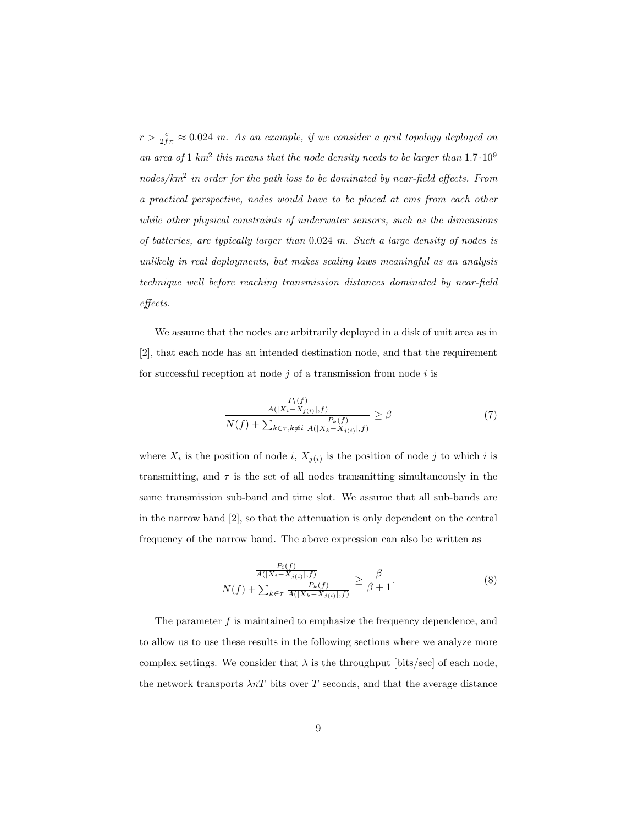$r > \frac{c}{2f\pi} \approx 0.024$  m. As an example, if we consider a grid topology deployed on an area of 1 km<sup>2</sup> this means that the node density needs to be larger than  $1.7 \cdot 10^9$ nodes/ $km^2$  in order for the path loss to be dominated by near-field effects. From a practical perspective, nodes would have to be placed at cms from each other while other physical constraints of underwater sensors, such as the dimensions of batteries, are typically larger than 0.024 m. Such a large density of nodes is unlikely in real deployments, but makes scaling laws meaningful as an analysis technique well before reaching transmission distances dominated by near-field effects.

We assume that the nodes are arbitrarily deployed in a disk of unit area as in [2], that each node has an intended destination node, and that the requirement for successful reception at node  $j$  of a transmission from node  $i$  is

$$
\frac{P_i(f)}{N(f) + \sum_{k \in \tau, k \neq i} \frac{P_k(f)}{A(|X_k - X_{j(i)}|, f)}} \ge \beta \tag{7}
$$

where  $X_i$  is the position of node i,  $X_{j(i)}$  is the position of node j to which i is transmitting, and  $\tau$  is the set of all nodes transmitting simultaneously in the same transmission sub-band and time slot. We assume that all sub-bands are in the narrow band [2], so that the attenuation is only dependent on the central frequency of the narrow band. The above expression can also be written as

$$
\frac{\frac{P_i(f)}{A(|X_i - X_{j(i)}|, f)}}{N(f) + \sum_{k \in \tau} \frac{P_k(f)}{A(|X_k - X_{j(i)}|, f)}} \ge \frac{\beta}{\beta + 1}.
$$
\n(8)

The parameter  $f$  is maintained to emphasize the frequency dependence, and to allow us to use these results in the following sections where we analyze more complex settings. We consider that  $\lambda$  is the throughput [bits/sec] of each node, the network transports  $\lambda nT$  bits over T seconds, and that the average distance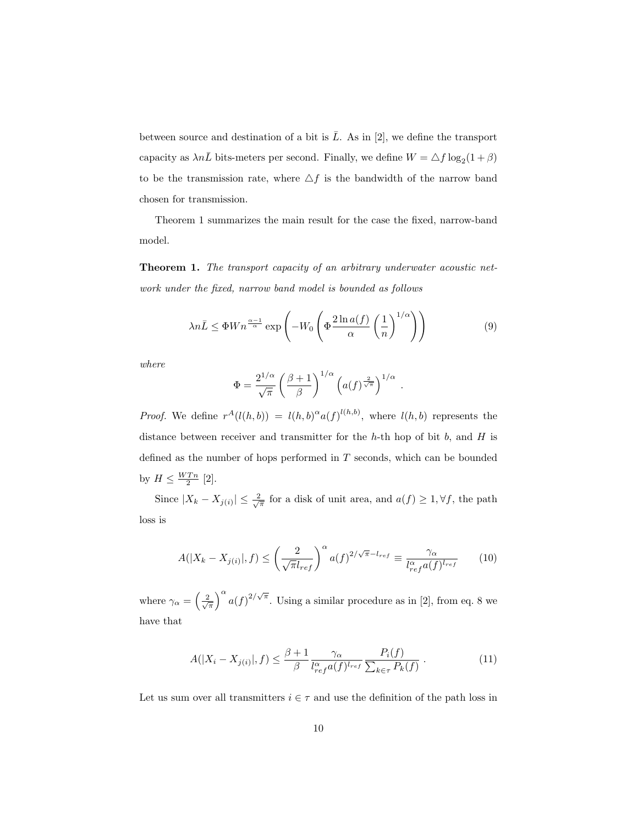between source and destination of a bit is  $\overline{L}$ . As in [2], we define the transport capacity as  $\lambda n \bar{L}$  bits-meters per second. Finally, we define  $W = \Delta f \log_2(1 + \beta)$ to be the transmission rate, where  $\triangle f$  is the bandwidth of the narrow band chosen for transmission.

Theorem 1 summarizes the main result for the case the fixed, narrow-band model.

Theorem 1. The transport capacity of an arbitrary underwater acoustic network under the fixed, narrow band model is bounded as follows

$$
\lambda n \bar{L} \le \Phi W n^{\frac{\alpha - 1}{\alpha}} \exp\left(-W_0 \left(\Phi \frac{2 \ln a(f)}{\alpha} \left(\frac{1}{n}\right)^{1/\alpha}\right)\right) \tag{9}
$$

where

$$
\Phi = \frac{2^{1/\alpha}}{\sqrt{\pi}} \left(\frac{\beta+1}{\beta}\right)^{1/\alpha} \left(a(f)^{\frac{2}{\sqrt{\pi}}}\right)^{1/\alpha} .
$$

*Proof.* We define  $r^{A}(l(h, b)) = l(h, b)^{\alpha} a(f)^{l(h, b)}$ , where  $l(h, b)$  represents the distance between receiver and transmitter for the  $h$ -th hop of bit  $b$ , and  $H$  is defined as the number of hops performed in  $T$  seconds, which can be bounded by  $H \leq \frac{W T n}{2}$  [2].

Since  $|X_k - X_{j(i)}| \leq \frac{2}{\sqrt{\pi}}$  for a disk of unit area, and  $a(f) \geq 1, \forall f$ , the path loss is

$$
A(|X_k - X_{j(i)}|, f) \le \left(\frac{2}{\sqrt{\pi}l_{ref}}\right)^{\alpha} a(f)^{2/\sqrt{\pi}-l_{ref}} \equiv \frac{\gamma_{\alpha}}{l_{ref}^{\alpha}a(f)^{l_{ref}}} \qquad (10)
$$

where  $\gamma_{\alpha} = \left(\frac{2}{\sqrt{\pi}}\right)^{\alpha} a(f)^{2/\sqrt{\pi}}$ . Using a similar procedure as in [2], from eq. 8 we have that

$$
A(|X_i - X_{j(i)}|, f) \leq \frac{\beta + 1}{\beta} \frac{\gamma_\alpha}{l_{ref}^\alpha a(f)^{l_{ref}}} \frac{P_i(f)}{\sum_{k \in \tau} P_k(f)}.
$$
\n(11)

Let us sum over all transmitters  $i \in \tau$  and use the definition of the path loss in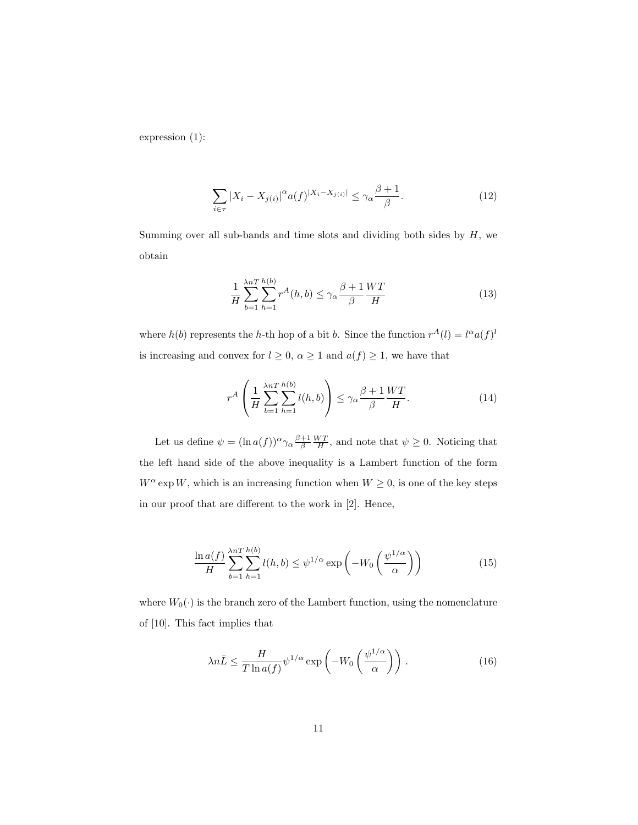expression (1):

$$
\sum_{i \in \tau} |X_i - X_{j(i)}|^\alpha a(f)^{|X_i - X_{j(i)}|} \le \gamma_\alpha \frac{\beta + 1}{\beta}.
$$
 (12)

Summing over all sub-bands and time slots and dividing both sides by  $H$ , we obtain

$$
\frac{1}{H} \sum_{b=1}^{\lambda n} \sum_{h=1}^{h(b)} r^A(h, b) \le \gamma_\alpha \frac{\beta + 1}{\beta} \frac{WT}{H}
$$
\n(13)

where  $h(b)$  represents the h-th hop of a bit b. Since the function  $r^{A}(l) = l^{\alpha} a(f)^{l}$ is increasing and convex for  $l\geq 0,\,\alpha\geq 1$  and  $a(f)\geq 1,$  we have that

$$
r^{A}\left(\frac{1}{H}\sum_{b=1}^{\lambda nT} \sum_{h=1}^{h(b)} l(h,b)\right) \leq \gamma_{\alpha} \frac{\beta+1}{\beta} \frac{WT}{H}.\tag{14}
$$

Let us define  $\psi = (\ln a(f))^{\alpha} \gamma_{\alpha} \frac{\beta+1}{\beta} \frac{WT}{H}$ , and note that  $\psi \geq 0$ . Noticing that the left hand side of the above inequality is a Lambert function of the form  $W^{\alpha} \exp W,$  which is an increasing function when  $W \geq 0,$  is one of the key steps in our proof that are different to the work in [2]. Hence,

$$
\frac{\ln a(f)}{H} \sum_{b=1}^{\lambda n} \sum_{h=1}^{h(b)} l(h, b) \le \psi^{1/\alpha} \exp\left(-W_0\left(\frac{\psi^{1/\alpha}}{\alpha}\right)\right) \tag{15}
$$

where  $W_0(\cdot)$  is the branch zero of the Lambert function, using the nomenclature of [10]. This fact implies that

$$
\lambda n \bar{L} \le \frac{H}{T \ln a(f)} \psi^{1/\alpha} \exp\left(-W_0 \left(\frac{\psi^{1/\alpha}}{\alpha}\right)\right). \tag{16}
$$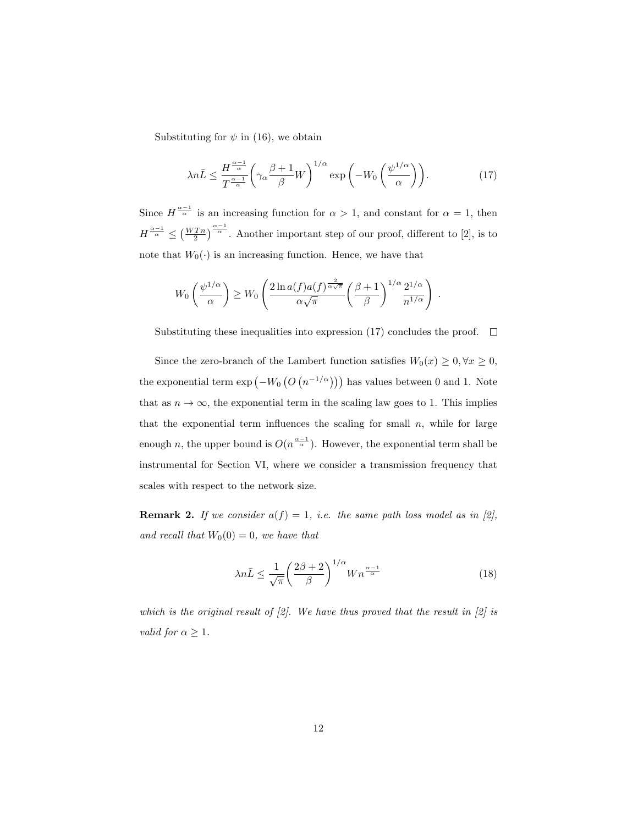Substituting for  $\psi$  in (16), we obtain

$$
\lambda n \bar{L} \le \frac{H^{\frac{\alpha - 1}{\alpha}}}{T^{\frac{\alpha - 1}{\alpha}}} \left( \gamma_\alpha \frac{\beta + 1}{\beta} W \right)^{1/\alpha} \exp\left( -W_0 \left( \frac{\psi^{1/\alpha}}{\alpha} \right) \right). \tag{17}
$$

Since  $H^{\frac{\alpha-1}{\alpha}}$  is an increasing function for  $\alpha > 1$ , and constant for  $\alpha = 1$ , then  $H^{\frac{\alpha-1}{\alpha}} \leq \left(\frac{WTn}{2}\right)^{\frac{\alpha-1}{\alpha}}$ . Another important step of our proof, different to [2], is to note that  $W_0(\cdot)$  is an increasing function. Hence, we have that

$$
W_0\left(\frac{\psi^{1/\alpha}}{\alpha}\right) \ge W_0\left(\frac{2\ln a(f)a(f)^{\frac{2}{\alpha\sqrt{\pi}}}}{\alpha\sqrt{\pi}}\left(\frac{\beta+1}{\beta}\right)^{1/\alpha}\frac{2^{1/\alpha}}{n^{1/\alpha}}\right) .
$$

Substituting these inequalities into expression (17) concludes the proof.  $\Box$ 

Since the zero-branch of the Lambert function satisfies  $W_0(x) \geq 0, \forall x \geq 0$ , the exponential term  $\exp(-W_0(0(n^{-1/\alpha})))$  has values between 0 and 1. Note that as  $n \to \infty$ , the exponential term in the scaling law goes to 1. This implies that the exponential term influences the scaling for small  $n$ , while for large enough n, the upper bound is  $O(n^{\frac{\alpha-1}{\alpha}})$ . However, the exponential term shall be instrumental for Section VI, where we consider a transmission frequency that scales with respect to the network size.

**Remark 2.** If we consider  $a(f) = 1$ , i.e. the same path loss model as in [2], and recall that  $W_0(0) = 0$ , we have that

$$
\lambda n \bar{L} \le \frac{1}{\sqrt{\pi}} \left(\frac{2\beta + 2}{\beta}\right)^{1/\alpha} W n^{\frac{\alpha - 1}{\alpha}} \tag{18}
$$

which is the original result of  $[2]$ . We have thus proved that the result in  $[2]$  is *valid for*  $\alpha \geq 1$ .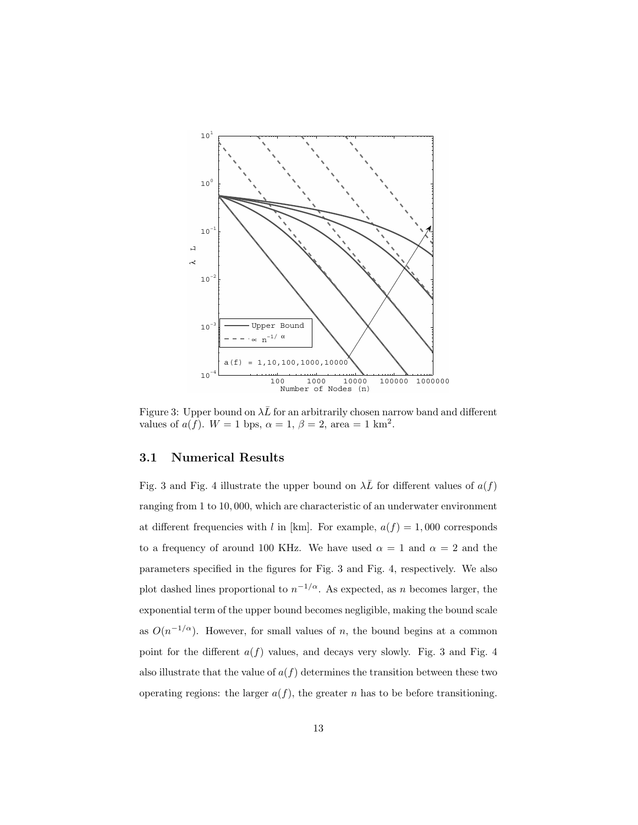

Figure 3: Upper bound on  $\lambda \bar{L}$  for an arbitrarily chosen narrow band and different values of  $a(f)$ .  $W = 1$  bps,  $\alpha = 1$ ,  $\beta = 2$ , area = 1 km<sup>2</sup>.

#### 3.1 Numerical Results

Fig. 3 and Fig. 4 illustrate the upper bound on  $\lambda \bar{L}$  for different values of  $a(f)$ ranging from 1 to 10, 000, which are characteristic of an underwater environment at different frequencies with l in [km]. For example,  $a(f) = 1,000$  corresponds to a frequency of around 100 KHz. We have used  $\alpha = 1$  and  $\alpha = 2$  and the parameters specified in the figures for Fig. 3 and Fig. 4, respectively. We also plot dashed lines proportional to  $n^{-1/\alpha}$ . As expected, as n becomes larger, the exponential term of the upper bound becomes negligible, making the bound scale as  $O(n^{-1/\alpha})$ . However, for small values of n, the bound begins at a common point for the different  $a(f)$  values, and decays very slowly. Fig. 3 and Fig. 4 also illustrate that the value of  $a(f)$  determines the transition between these two operating regions: the larger  $a(f)$ , the greater n has to be before transitioning.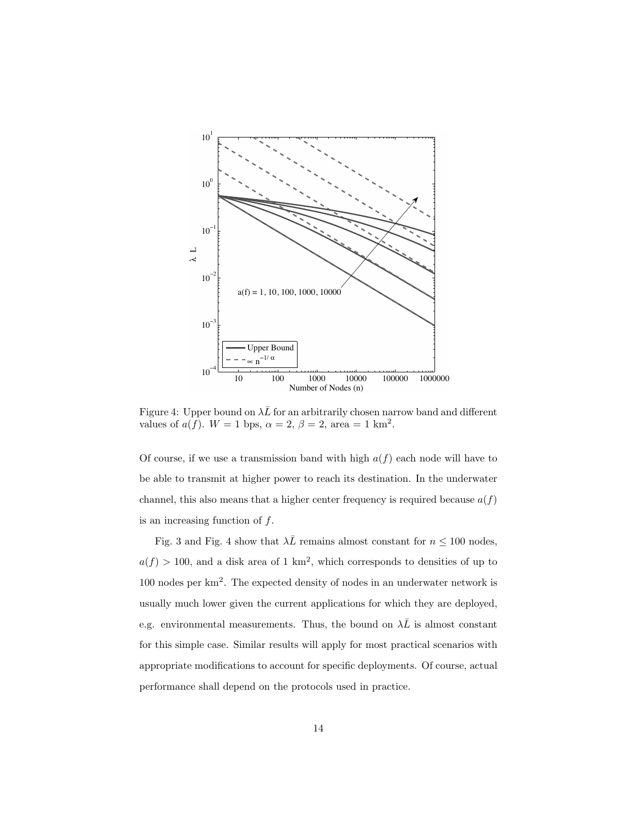

Figure 4: Upper bound on  $\lambda \bar{L}$  for an arbitrarily chosen narrow band and different values of  $a(f)$ .  $W = 1$  bps,  $\alpha = 2$ ,  $\beta = 2$ , area = 1 km<sup>2</sup>.

Of course, if we use a transmission band with high  $a(f)$  each node will have to be able to transmit at higher power to reach its destination. In the underwater channel, this also means that a higher center frequency is required because  $a(f)$ is an increasing function of  $f$ .

Fig. 3 and Fig. 4 show that  $\lambda \bar{L}$  remains almost constant for  $n \leq 100$  nodes,  $a(f) > 100$ , and a disk area of 1 km<sup>2</sup>, which corresponds to densities of up to 100 nodes per km<sup>2</sup> . The expected density of nodes in an underwater network is usually much lower given the current applications for which they are deployed, e.g. environmental measurements. Thus, the bound on  $\lambda \bar{L}$  is almost constant for this simple case. Similar results will apply for most practical scenarios with appropriate modifications to account for specific deployments. Of course, actual performance shall depend on the protocols used in practice.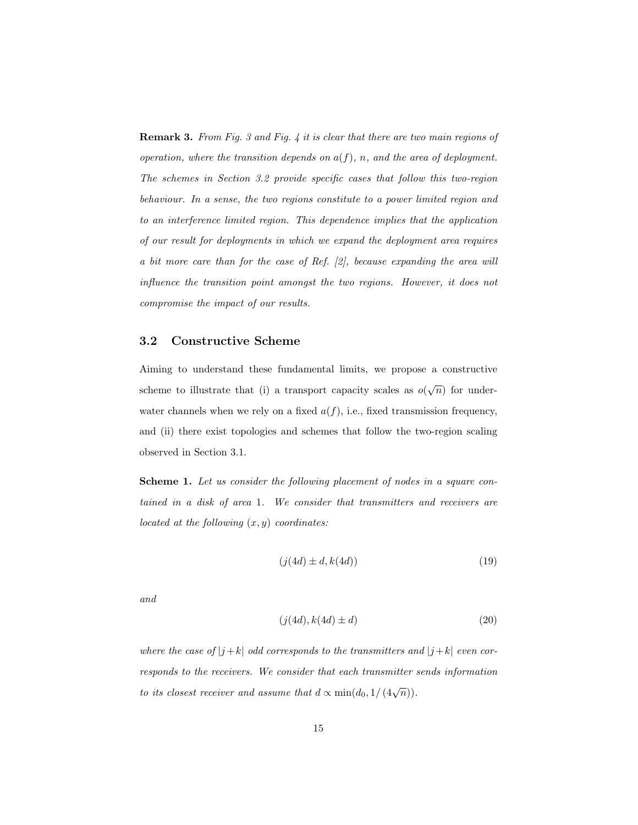Remark 3. From Fig. 3 and Fig. 4 it is clear that there are two main regions of operation, where the transition depends on  $a(f)$ , n, and the area of deployment. The schemes in Section 3.2 provide specific cases that follow this two-region behaviour. In a sense, the two regions constitute to a power limited region and to an interference limited region. This dependence implies that the application of our result for deployments in which we expand the deployment area requires a bit more care than for the case of Ref. [2], because expanding the area will influence the transition point amongst the two regions. However, it does not compromise the impact of our results.

#### 3.2 Constructive Scheme

Aiming to understand these fundamental limits, we propose a constructive scheme to illustrate that (i) a transport capacity scales as  $o(\sqrt{n})$  for underwater channels when we rely on a fixed  $a(f)$ , i.e., fixed transmission frequency, and (ii) there exist topologies and schemes that follow the two-region scaling observed in Section 3.1.

Scheme 1. Let us consider the following placement of nodes in a square contained in a disk of area 1. We consider that transmitters and receivers are located at the following  $(x, y)$  coordinates:

$$
(j(4d) \pm d, k(4d)) \tag{19}
$$

and

$$
(j(4d), k(4d) \pm d) \tag{20}
$$

where the case of  $|j+k|$  odd corresponds to the transmitters and  $|j+k|$  even corresponds to the receivers. We consider that each transmitter sends information to its closest receiver and assume that  $d \propto \min(d_0, 1/(4\sqrt{n}))$ .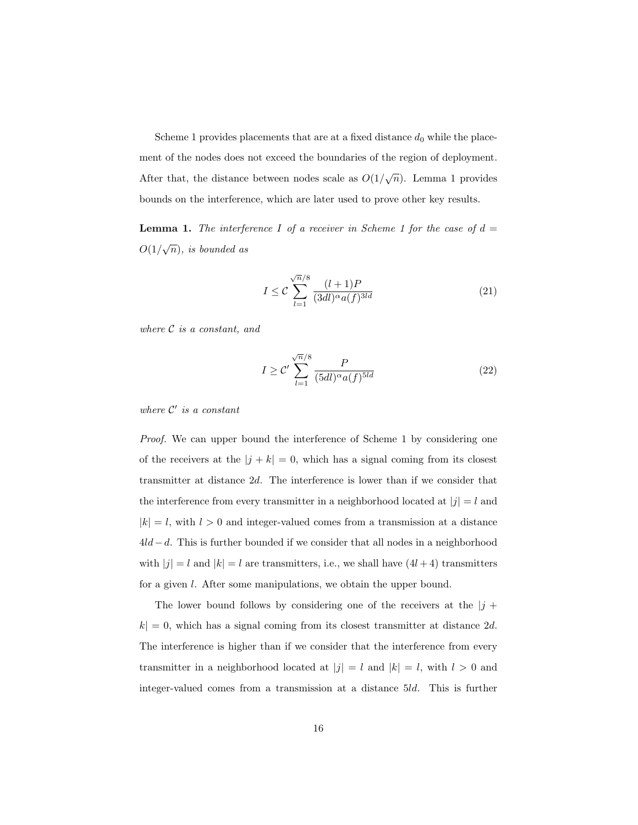Scheme 1 provides placements that are at a fixed distance  $d_0$  while the placement of the nodes does not exceed the boundaries of the region of deployment. After that, the distance between nodes scale as  $O(1/\sqrt{n})$ . Lemma 1 provides bounds on the interference, which are later used to prove other key results.

**Lemma 1.** The interference I of a receiver in Scheme 1 for the case of  $d =$  $O(1/\sqrt{n})$ , is bounded as

$$
I \leq C \sum_{l=1}^{\sqrt{n}/8} \frac{(l+1)P}{(3dl)^{\alpha} a(f)^{3ld}} \tag{21}
$$

where  $C$  is a constant, and

$$
I \geq C' \sum_{l=1}^{\sqrt{n}/8} \frac{P}{(5dl)^{\alpha} a(f)^{5ld}}
$$
 (22)

where  $\mathcal{C}'$  is a constant

*Proof.* We can upper bound the interference of Scheme 1 by considering one of the receivers at the  $|j + k| = 0$ , which has a signal coming from its closest transmitter at distance 2d. The interference is lower than if we consider that the interference from every transmitter in a neighborhood located at  $|j| = l$  and  $|k| = l$ , with  $l > 0$  and integer-valued comes from a transmission at a distance  $4ld-d$ . This is further bounded if we consider that all nodes in a neighborhood with  $|j| = l$  and  $|k| = l$  are transmitters, i.e., we shall have  $(4l + 4)$  transmitters for a given l. After some manipulations, we obtain the upper bound.

The lower bound follows by considering one of the receivers at the  $|j +$  $k| = 0$ , which has a signal coming from its closest transmitter at distance 2d. The interference is higher than if we consider that the interference from every transmitter in a neighborhood located at  $|j| = l$  and  $|k| = l$ , with  $l > 0$  and integer-valued comes from a transmission at a distance 5ld. This is further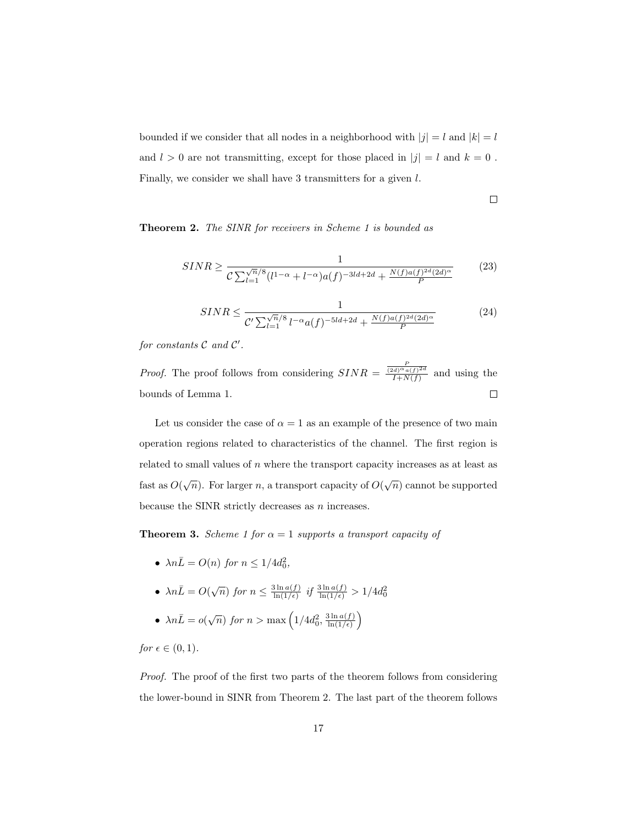bounded if we consider that all nodes in a neighborhood with  $|j| = l$  and  $|k| = l$ and  $l > 0$  are not transmitting, except for those placed in  $\vert j \vert = l$  and  $k = 0$  . Finally, we consider we shall have 3 transmitters for a given l.

 $\Box$ 

Theorem 2. The SINR for receivers in Scheme 1 is bounded as

$$
SINR \ge \frac{1}{C \sum_{l=1}^{\sqrt{n}/8} (l^{1-\alpha} + l^{-\alpha}) a(f)^{-3ld + 2d} + \frac{N(f)a(f)^{2d}(2d)^{\alpha}}{P}}
$$
(23)

$$
SINR \le \frac{1}{\mathcal{C}' \sum_{l=1}^{\sqrt{n}/8} l^{-\alpha} a(f)^{-5ld + 2d} + \frac{N(f)a(f)^{2d}(2d)^{\alpha}}{P}}
$$
(24)

for constants  $C$  and  $C'$ .

*Proof.* The proof follows from considering  $SINR = \frac{P}{(2d)^{\alpha} a(f)^{2d}}$  and using the bounds of Lemma 1.  $\Box$ 

Let us consider the case of  $\alpha = 1$  as an example of the presence of two main operation regions related to characteristics of the channel. The first region is related to small values of  $n$  where the transport capacity increases as at least as fast as  $O(\sqrt{n})$ . For larger n, a transport capacity of  $O(\sqrt{n})$  cannot be supported because the SINR strictly decreases as  $n$  increases.

**Theorem 3.** Scheme 1 for  $\alpha = 1$  supports a transport capacity of

- $\lambda n\bar{L} = O(n)$  for  $n \leq 1/4d_0^2$ ,
- $\lambda n\bar{L} = O(\sqrt{n})$  for  $n \leq \frac{3 \ln a(f)}{\ln(1/\epsilon)}$  $\frac{\sin a(f)}{\ln(1/\epsilon)}$  if  $\frac{3 \ln a(f)}{\ln(1/\epsilon)} > 1/4d_0^2$
- $\lambda n\bar{L} = o(\sqrt{n})$  for  $n > \max\left(1/4d_0^2, \frac{3\ln a(f)}{\ln(1/\epsilon)}\right)$  $\frac{\sin a(f)}{\ln(1/\epsilon)}$

for  $\epsilon \in (0,1)$ .

Proof. The proof of the first two parts of the theorem follows from considering the lower-bound in SINR from Theorem 2. The last part of the theorem follows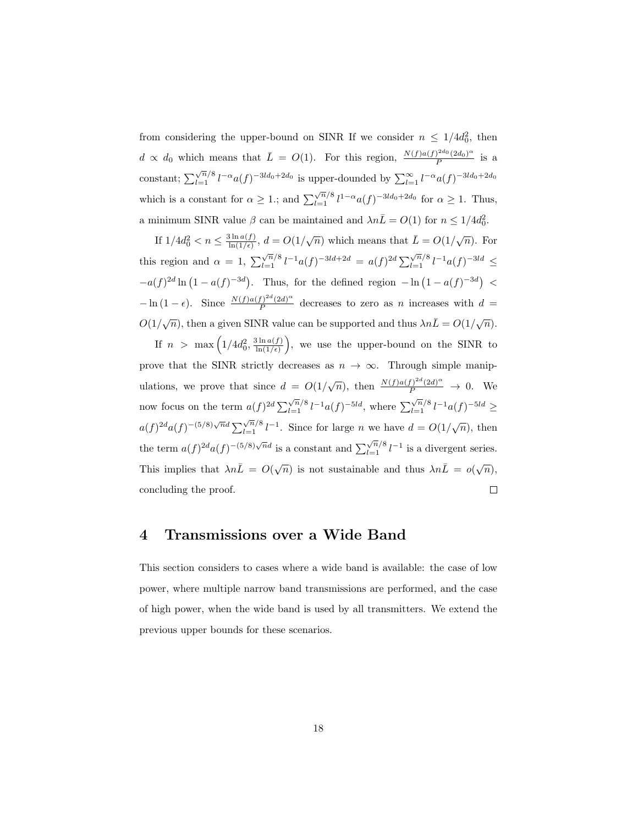from considering the upper-bound on SINR If we consider  $n \leq 1/4d_0^2$ , then  $d \propto d_0$  which means that  $\bar{L} = O(1)$ . For this region,  $\frac{N(f)a(f)^{2d_0}(2d_0)^{\alpha}}{P}$  $\frac{p^{1-\sigma}(2a_0)^n}{P}$  is a constant;  $\sum_{l=1}^{\sqrt{n}/8} l^{-\alpha} a(f)^{-3ld_0+2d_0}$  is upper-dounded by  $\sum_{l=1}^{\infty} l^{-\alpha} a(f)^{-3ld_0+2d_0}$ which is a constant for  $\alpha \geq 1$ ; and  $\sum_{l=1}^{\sqrt{n}/8} l^{1-\alpha} a(f)^{-3ld_0+2d_0}$  for  $\alpha \geq 1$ . Thus, a minimum SINR value  $\beta$  can be maintained and  $\lambda n\bar{L} = O(1)$  for  $n \leq 1/4d_0^2$ .

If  $1/4d_0^2 < n \leq \frac{3 \ln a(f)}{\ln(1/\epsilon)}$  $\frac{\sin a(f)}{\ln(1/\epsilon)}$ ,  $d = O(1/\sqrt{n})$  which means that  $\bar{L} = O(1/\sqrt{n})$ . For this region and  $\alpha = 1$ ,  $\sum_{l=1}^{\sqrt{n}/8} l^{-1} a(f)^{-3ld+2d} = a(f)^{2d} \sum_{l=1}^{\sqrt{n}/8} l^{-1} a(f)^{-3ld} \le$  $-a(f)^{2d}\ln\left(1-a(f)^{-3d}\right)$ . Thus, for the defined region  $-\ln\left(1-a(f)^{-3d}\right)$  <  $-\ln(1-\epsilon)$ . Since  $\frac{N(f)a(f)^{2d}(2d)^{\alpha}}{P}$  $\frac{p^{1-\alpha}(2a)^n}{P}$  decreases to zero as *n* increases with  $d =$  $O(1/\sqrt{n})$ , then a given SINR value can be supported and thus  $\lambda n\bar{L} = O(1/\sqrt{n})$ .

If  $n > \max\left(1/4d_0^2, \frac{3\ln a(f)}{\ln(1/\epsilon)}\right)$  $\frac{\sin a(f)}{\ln(1/\epsilon)}$ , we use the upper-bound on the SINR to prove that the SINR strictly decreases as  $n \to \infty$ . Through simple manipulations, we prove that since  $d = O(1/\sqrt{n})$ , then  $\frac{N(f)a(f)^{2d}(2d)^{\alpha}}{P} \to 0$ . We now focus on the term  $a(f)^{2d} \sum_{l=1}^{\sqrt{n}/8} l^{-1} a(f)^{-5ld}$ , where  $\sum_{l=1}^{\sqrt{n}/8} l^{-1} a(f)^{-5ld} \ge$  $a(f)^{2d}a(f)^{-(5/8)\sqrt{n}d} \sum_{l=1}^{\sqrt{n}/8} l^{-1}$ . Since for large *n* we have  $d = O(1/\sqrt{n})$ , then the term  $a(f)^{2d}a(f)^{-(5/8)\sqrt{n}d}$  is a constant and  $\sum_{l=1}^{\sqrt{n}/8} l^{-1}$  is a divergent series. This implies that  $\lambda n\bar{L} = O(\sqrt{n})$  is not sustainable and thus  $\lambda n\bar{L} = o(\sqrt{n}),$ concluding the proof.  $\Box$ 

## 4 Transmissions over a Wide Band

This section considers to cases where a wide band is available: the case of low power, where multiple narrow band transmissions are performed, and the case of high power, when the wide band is used by all transmitters. We extend the previous upper bounds for these scenarios.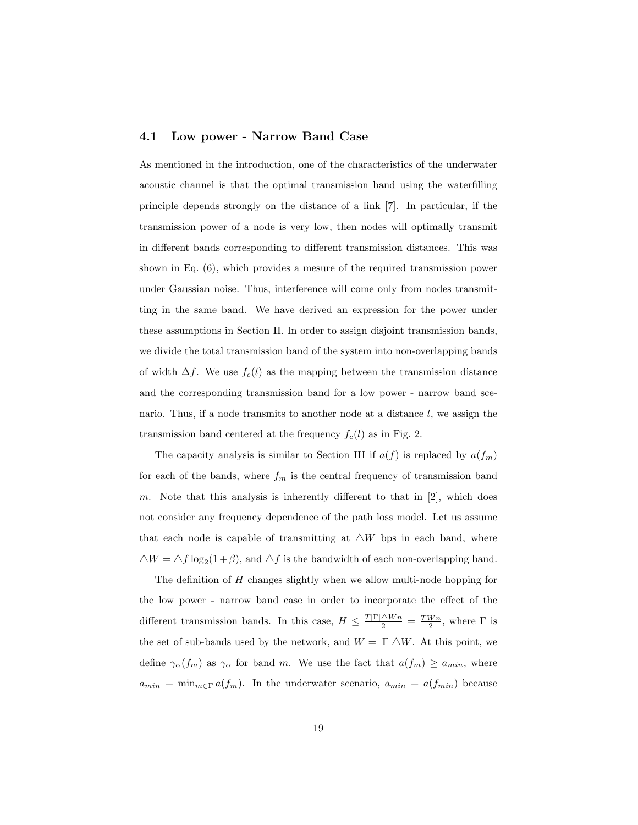#### 4.1 Low power - Narrow Band Case

As mentioned in the introduction, one of the characteristics of the underwater acoustic channel is that the optimal transmission band using the waterfilling principle depends strongly on the distance of a link [7]. In particular, if the transmission power of a node is very low, then nodes will optimally transmit in different bands corresponding to different transmission distances. This was shown in Eq. (6), which provides a mesure of the required transmission power under Gaussian noise. Thus, interference will come only from nodes transmitting in the same band. We have derived an expression for the power under these assumptions in Section II. In order to assign disjoint transmission bands, we divide the total transmission band of the system into non-overlapping bands of width  $\Delta f$ . We use  $f_c(l)$  as the mapping between the transmission distance and the corresponding transmission band for a low power - narrow band scenario. Thus, if a node transmits to another node at a distance  $l$ , we assign the transmission band centered at the frequency  $f_c(l)$  as in Fig. 2.

The capacity analysis is similar to Section III if  $a(f)$  is replaced by  $a(f_m)$ for each of the bands, where  $f_m$  is the central frequency of transmission band m. Note that this analysis is inherently different to that in  $[2]$ , which does not consider any frequency dependence of the path loss model. Let us assume that each node is capable of transmitting at  $\triangle W$  bps in each band, where  $\triangle W = \triangle f \log_2(1+\beta)$ , and  $\triangle f$  is the bandwidth of each non-overlapping band.

The definition of  $H$  changes slightly when we allow multi-node hopping for the low power - narrow band case in order to incorporate the effect of the different transmission bands. In this case,  $H \leq \frac{T|\Gamma|\Delta W_n}{2} = \frac{TW_n}{2}$ , where  $\Gamma$  is the set of sub-bands used by the network, and  $W = |\Gamma| \triangle W$ . At this point, we define  $\gamma_{\alpha}(f_m)$  as  $\gamma_{\alpha}$  for band m. We use the fact that  $a(f_m) \ge a_{min}$ , where  $a_{min} = \min_{m \in \Gamma} a(f_m)$ . In the underwater scenario,  $a_{min} = a(f_{min})$  because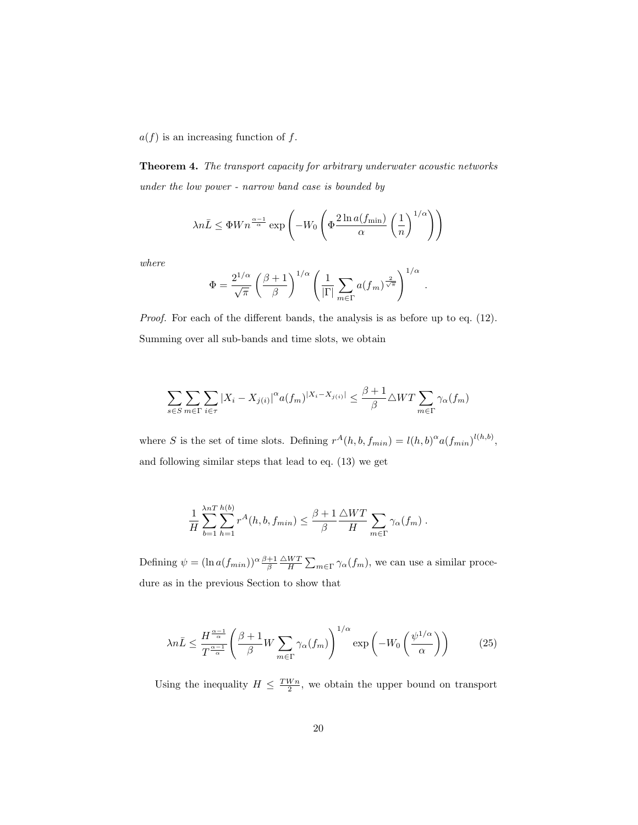$a(f)$  is an increasing function of f.

Theorem 4. The transport capacity for arbitrary underwater acoustic networks under the low power - narrow band case is bounded by

$$
\lambda n\bar{L} \leq \Phi W n^{\frac{\alpha-1}{\alpha}} \exp\left(-W_0 \left(\Phi \frac{2\ln a(f_{\min})}{\alpha}\left(\frac{1}{n}\right)^{1/\alpha}\right)\right)
$$

where

$$
\Phi = \frac{2^{1/\alpha}}{\sqrt{\pi}} \left(\frac{\beta+1}{\beta}\right)^{1/\alpha} \left(\frac{1}{|\Gamma|} \sum_{m \in \Gamma} a(f_m)^{\frac{2}{\sqrt{\pi}}} \right)^{1/\alpha}.
$$

Proof. For each of the different bands, the analysis is as before up to eq. (12). Summing over all sub-bands and time slots, we obtain

$$
\sum_{s \in S} \sum_{m \in \Gamma} \sum_{i \in \tau} |X_i - X_{j(i)}|^\alpha a(f_m)^{|X_i - X_{j(i)}|} \le \frac{\beta + 1}{\beta} \triangle WT \sum_{m \in \Gamma} \gamma_\alpha(f_m)
$$

where S is the set of time slots. Defining  $r^{A}(h, b, f_{min}) = l(h, b)^{\alpha} a(f_{min})^{l(h, b)},$ and following similar steps that lead to eq. (13) we get

$$
\frac{1}{H} \sum_{b=1}^{\lambda nT} \sum_{h=1}^{h(b)} r^{A}(h, b, f_{min}) \leq \frac{\beta + 1}{\beta} \frac{\Delta WT}{H} \sum_{m \in \Gamma} \gamma_{\alpha}(f_m) .
$$

Defining  $\psi = (\ln a(f_{min}))^{\alpha} \frac{\beta+1}{\beta} \frac{\Delta WT}{H} \sum_{m \in \Gamma} \gamma_{\alpha}(f_m)$ , we can use a similar procedure as in the previous Section to show that

$$
\lambda n \bar{L} \le \frac{H^{\frac{\alpha-1}{\alpha}}}{T^{\frac{\alpha-1}{\alpha}}} \left(\frac{\beta+1}{\beta} W \sum_{m \in \Gamma} \gamma_{\alpha}(f_m)\right)^{1/\alpha} \exp\left(-W_0 \left(\frac{\psi^{1/\alpha}}{\alpha}\right)\right) \tag{25}
$$

Using the inequality  $H \leq \frac{TW_n}{2}$ , we obtain the upper bound on transport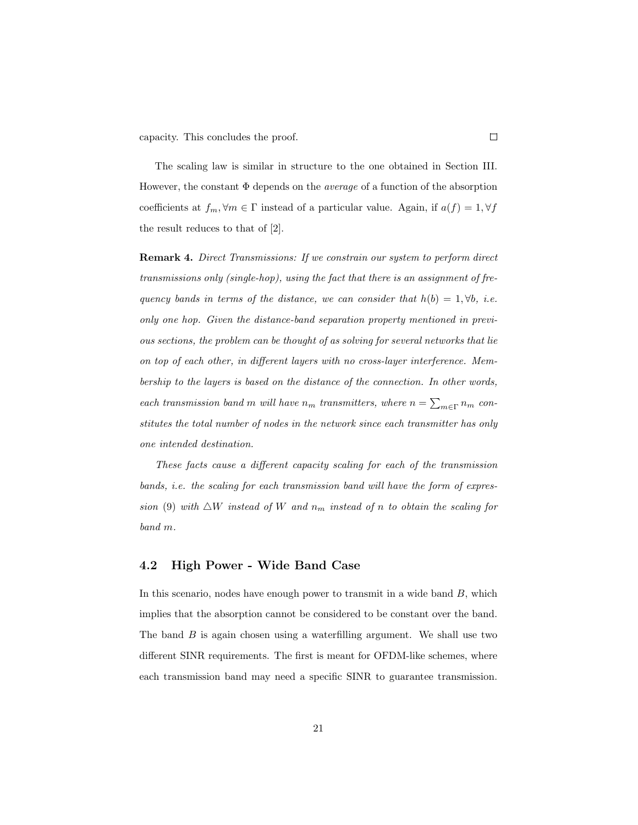capacity. This concludes the proof.

The scaling law is similar in structure to the one obtained in Section III. However, the constant  $\Phi$  depends on the *average* of a function of the absorption coefficients at  $f_m, \forall m \in \Gamma$  instead of a particular value. Again, if  $a(f) = 1, \forall f$ the result reduces to that of [2].

Remark 4. Direct Transmissions: If we constrain our system to perform direct transmissions only (single-hop), using the fact that there is an assignment of frequency bands in terms of the distance, we can consider that  $h(b) = 1, \forall b, i.e.$ only one hop. Given the distance-band separation property mentioned in previous sections, the problem can be thought of as solving for several networks that lie on top of each other, in different layers with no cross-layer interference. Membership to the layers is based on the distance of the connection. In other words, each transmission band m will have  $n_m$  transmitters, where  $n = \sum_{m \in \Gamma} n_m$  constitutes the total number of nodes in the network since each transmitter has only one intended destination.

These facts cause a different capacity scaling for each of the transmission bands, i.e. the scaling for each transmission band will have the form of expression (9) with  $\triangle W$  instead of W and  $n_m$  instead of n to obtain the scaling for band m.

#### 4.2 High Power - Wide Band Case

In this scenario, nodes have enough power to transmit in a wide band  $B$ , which implies that the absorption cannot be considered to be constant over the band. The band  $B$  is again chosen using a waterfilling argument. We shall use two different SINR requirements. The first is meant for OFDM-like schemes, where each transmission band may need a specific SINR to guarantee transmission.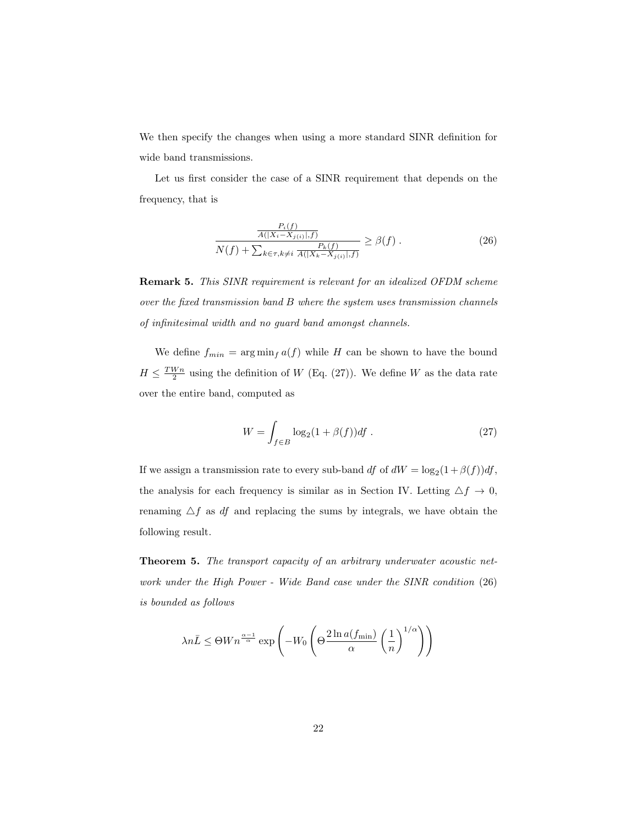We then specify the changes when using a more standard SINR definition for wide band transmissions.

Let us first consider the case of a SINR requirement that depends on the frequency, that is

$$
\frac{\frac{P_i(f)}{A(|X_i - X_{j(i)}|, f)}}{N(f) + \sum_{k \in \tau, k \neq i} \frac{P_k(f)}{A(|X_k - X_{j(i)}|, f)}} \ge \beta(f) \,. \tag{26}
$$

Remark 5. This SINR requirement is relevant for an idealized OFDM scheme over the fixed transmission band B where the system uses transmission channels of infinitesimal width and no guard band amongst channels.

We define  $f_{min} = \arg \min_f a(f)$  while H can be shown to have the bound  $H \leq \frac{TWn}{2}$  using the definition of W (Eq. (27)). We define W as the data rate over the entire band, computed as

$$
W = \int_{f \in B} \log_2(1 + \beta(f)) df.
$$
 (27)

If we assign a transmission rate to every sub-band df of  $dW = \log_2(1 + \beta(f))df$ , the analysis for each frequency is similar as in Section IV. Letting  $\triangle f \rightarrow 0$ , renaming  $\Delta f$  as df and replacing the sums by integrals, we have obtain the following result.

Theorem 5. The transport capacity of an arbitrary underwater acoustic network under the High Power - Wide Band case under the SINR condition (26) is bounded as follows

$$
\lambda n \bar{L} \le \Theta W n^{\frac{\alpha - 1}{\alpha}} \exp\left(-W_0 \left(\Theta \frac{2 \ln a(f_{\min})}{\alpha} \left(\frac{1}{n}\right)^{1/\alpha}\right)\right)
$$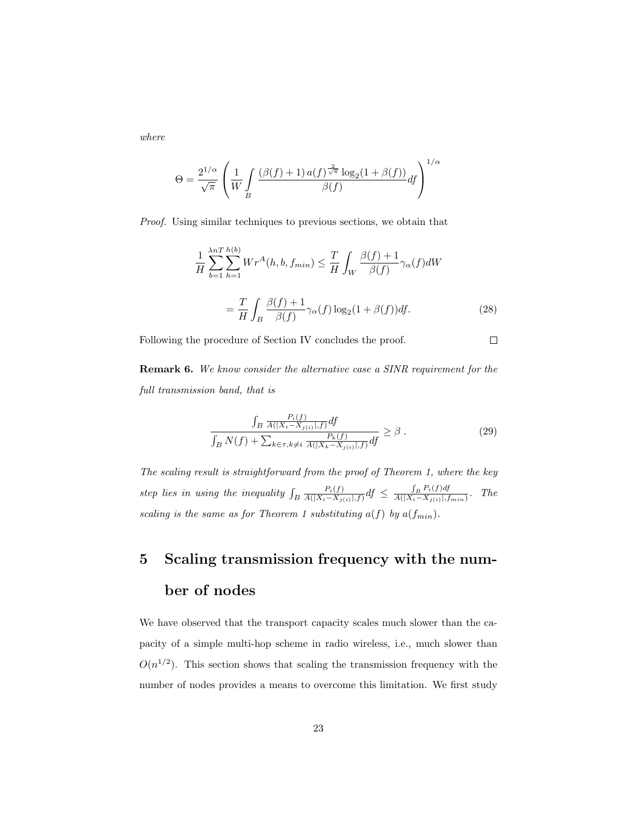where

$$
\Theta = \frac{2^{1/\alpha}}{\sqrt{\pi}} \left( \frac{1}{W} \int \frac{(\beta(f) + 1) a(f)^{\frac{2}{\sqrt{\pi}}} \log_2(1 + \beta(f))}{\beta(f)} df \right)^{1/\alpha}
$$

Proof. Using similar techniques to previous sections, we obtain that

$$
\frac{1}{H} \sum_{b=1}^{\lambda n} \sum_{h=1}^{h(b)} W r^A(h, b, f_{min}) \le \frac{T}{H} \int_W \frac{\beta(f) + 1}{\beta(f)} \gamma_\alpha(f) dW
$$

$$
= \frac{T}{H} \int_B \frac{\beta(f) + 1}{\beta(f)} \gamma_\alpha(f) \log_2(1 + \beta(f)) df. \tag{28}
$$

Following the procedure of Section IV concludes the proof.

 $\Box$ 

Remark 6. We know consider the alternative case a SINR requirement for the full transmission band, that is

$$
\frac{\int_{B} \frac{P_i(f)}{A(|X_i - X_{j(i)}|, f)} df}{\int_{B} N(f) + \sum_{k \in \tau, k \neq i} \frac{P_k(f)}{A(|X_k - X_{j(i)}|, f)} df} \ge \beta.
$$
\n(29)

The scaling result is straightforward from the proof of Theorem 1, where the key step lies in using the inequality  $\int_B \frac{P_i(f)}{A(|X_i-X_j|)}$  $\frac{P_i(f)}{A(|X_i-X_{j(i)}|,f)} df \leq \frac{\int_B P_i(f) df}{A(|X_i-X_{j(i)}|,f)}$  $\frac{\int_B F_i(f)dy}{A(|X_i-X_{j(i)}|,f_{min})}$ . The scaling is the same as for Theorem 1 substituting  $a(f)$  by  $a(f_{min})$ .

# 5 Scaling transmission frequency with the number of nodes

We have observed that the transport capacity scales much slower than the capacity of a simple multi-hop scheme in radio wireless, i.e., much slower than  $O(n^{1/2})$ . This section shows that scaling the transmission frequency with the number of nodes provides a means to overcome this limitation. We first study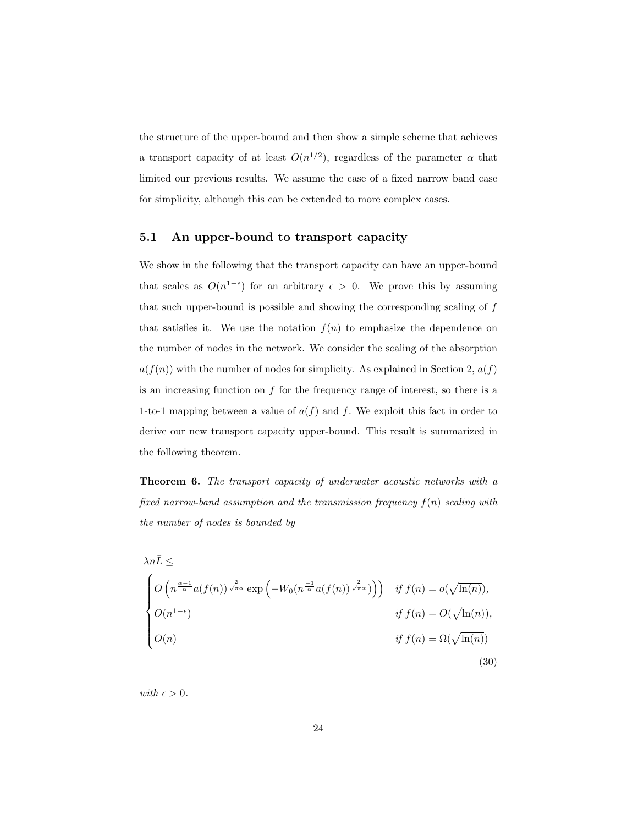the structure of the upper-bound and then show a simple scheme that achieves a transport capacity of at least  $O(n^{1/2})$ , regardless of the parameter  $\alpha$  that limited our previous results. We assume the case of a fixed narrow band case for simplicity, although this can be extended to more complex cases.

#### 5.1 An upper-bound to transport capacity

We show in the following that the transport capacity can have an upper-bound that scales as  $O(n^{1-\epsilon})$  for an arbitrary  $\epsilon > 0$ . We prove this by assuming that such upper-bound is possible and showing the corresponding scaling of  $f$ that satisfies it. We use the notation  $f(n)$  to emphasize the dependence on the number of nodes in the network. We consider the scaling of the absorption  $a(f(n))$  with the number of nodes for simplicity. As explained in Section 2,  $a(f)$ is an increasing function on  $f$  for the frequency range of interest, so there is a 1-to-1 mapping between a value of  $a(f)$  and f. We exploit this fact in order to derive our new transport capacity upper-bound. This result is summarized in the following theorem.

Theorem 6. The transport capacity of underwater acoustic networks with a fixed narrow-band assumption and the transmission frequency  $f(n)$  scaling with the number of nodes is bounded by

$$
\lambda n\bar{L} \le
$$
\n
$$
\begin{cases}\nO\left(n^{\frac{\alpha-1}{\alpha}}a(f(n))^{\frac{2}{\sqrt{\pi}\alpha}}\exp\left(-W_0(n^{\frac{-1}{\alpha}}a(f(n))^{\frac{2}{\sqrt{\pi}\alpha}})\right)\right) & \text{if } f(n) = o(\sqrt{\ln(n)}), \\
O(n^{1-\epsilon}) & \text{if } f(n) = O(\sqrt{\ln(n)}), \\
O(n) & \text{if } f(n) = \Omega(\sqrt{\ln(n)})\n\end{cases}
$$
\n(30)

with  $\epsilon > 0$ .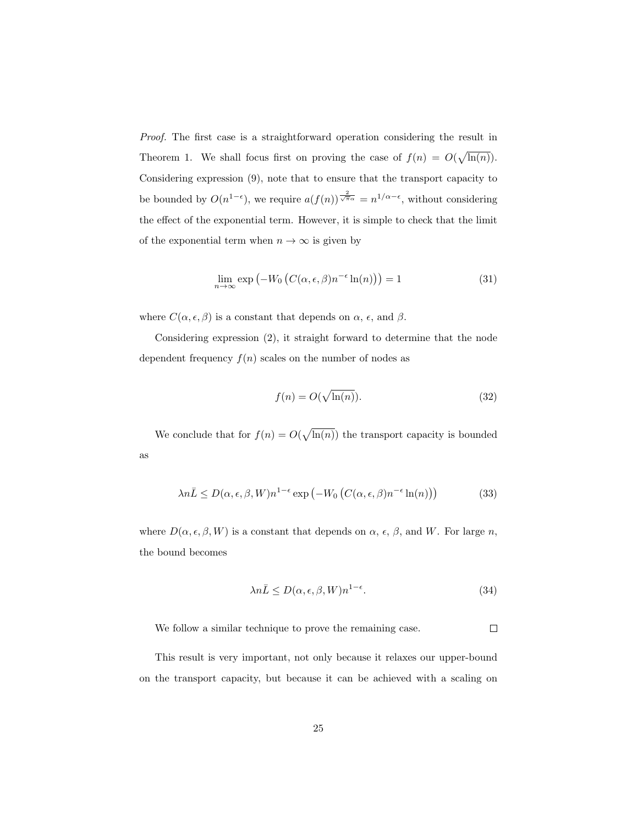Proof. The first case is a straightforward operation considering the result in Theorem 1. We shall focus first on proving the case of  $f(n) = O(\sqrt{\ln(n)})$ . Considering expression (9), note that to ensure that the transport capacity to be bounded by  $O(n^{1-\epsilon})$ , we require  $a(f(n))^{\frac{2}{\sqrt{\pi \alpha}}} = n^{1/\alpha - \epsilon}$ , without considering the effect of the exponential term. However, it is simple to check that the limit of the exponential term when  $n \to \infty$  is given by

$$
\lim_{n \to \infty} \exp\left(-W_0\left(C(\alpha, \epsilon, \beta)n^{-\epsilon} \ln(n)\right)\right) = 1\tag{31}
$$

where  $C(\alpha, \epsilon, \beta)$  is a constant that depends on  $\alpha$ ,  $\epsilon$ , and  $\beta$ .

Considering expression (2), it straight forward to determine that the node dependent frequency  $f(n)$  scales on the number of nodes as

$$
f(n) = O(\sqrt{\ln(n)}).
$$
\n(32)

We conclude that for  $f(n) = O(\sqrt{\ln(n)})$  the transport capacity is bounded as

$$
\lambda n \bar{L} \le D(\alpha, \epsilon, \beta, W) n^{1-\epsilon} \exp\left(-W_0 \left(C(\alpha, \epsilon, \beta) n^{-\epsilon} \ln(n)\right)\right) \tag{33}
$$

where  $D(\alpha, \epsilon, \beta, W)$  is a constant that depends on  $\alpha$ ,  $\epsilon$ ,  $\beta$ , and W. For large n, the bound becomes

$$
\lambda n \bar{L} \le D(\alpha, \epsilon, \beta, W) n^{1-\epsilon}.
$$
\n(34)

We follow a similar technique to prove the remaining case.  $\Box$ 

This result is very important, not only because it relaxes our upper-bound on the transport capacity, but because it can be achieved with a scaling on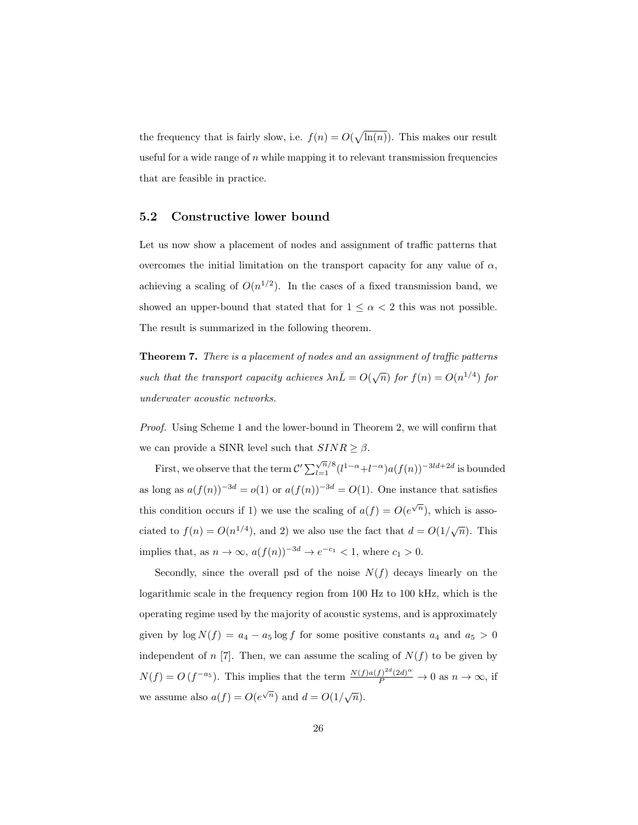the frequency that is fairly slow, i.e.  $f(n) = O(\sqrt{\ln(n)})$ . This makes our result useful for a wide range of  $n$  while mapping it to relevant transmission frequencies that are feasible in practice.

#### 5.2 Constructive lower bound

Let us now show a placement of nodes and assignment of traffic patterns that overcomes the initial limitation on the transport capacity for any value of  $\alpha$ , achieving a scaling of  $O(n^{1/2})$ . In the cases of a fixed transmission band, we showed an upper-bound that stated that for  $1 \leq \alpha < 2$  this was not possible. The result is summarized in the following theorem.

**Theorem 7.** There is a placement of nodes and an assignment of traffic patterns such that the transport capacity achieves  $\lambda n\bar{L} = O(\sqrt{n})$  for  $f(n) = O(n^{1/4})$  for underwater acoustic networks.

Proof. Using Scheme 1 and the lower-bound in Theorem 2, we will confirm that we can provide a SINR level such that  $SINR \geq \beta$ .

First, we observe that the term  $\mathcal{C}' \sum_{l=1}^{\sqrt{n}/8} (l^{1-\alpha} + l^{-\alpha}) a(f(n))^{-3ld+2d}$  is bounded as long as  $a(f(n))^{-3d} = o(1)$  or  $a(f(n))^{-3d} = O(1)$ . One instance that satisfies this condition occurs if 1) we use the scaling of  $a(f) = O(e^{\sqrt{n}})$ , which is associated to  $f(n) = O(n^{1/4})$ , and 2) we also use the fact that  $d = O(1/\sqrt{n})$ . This implies that, as  $n \to \infty$ ,  $a(f(n))^{-3d} \to e^{-c_1} < 1$ , where  $c_1 > 0$ .

Secondly, since the overall psd of the noise  $N(f)$  decays linearly on the logarithmic scale in the frequency region from 100 Hz to 100 kHz, which is the operating regime used by the majority of acoustic systems, and is approximately given by  $\log N(f) = a_4 - a_5 \log f$  for some positive constants  $a_4$  and  $a_5 > 0$ independent of n [7]. Then, we can assume the scaling of  $N(f)$  to be given by  $N(f) = O(f^{-a_5})$ . This implies that the term  $\frac{N(f)a(f)^{2d}(2d)^{\alpha}}{P} \to 0$  as  $n \to \infty$ , if we assume also  $a(f) = O(e^{\sqrt{n}})$  and  $d = O(1/\sqrt{n})$ .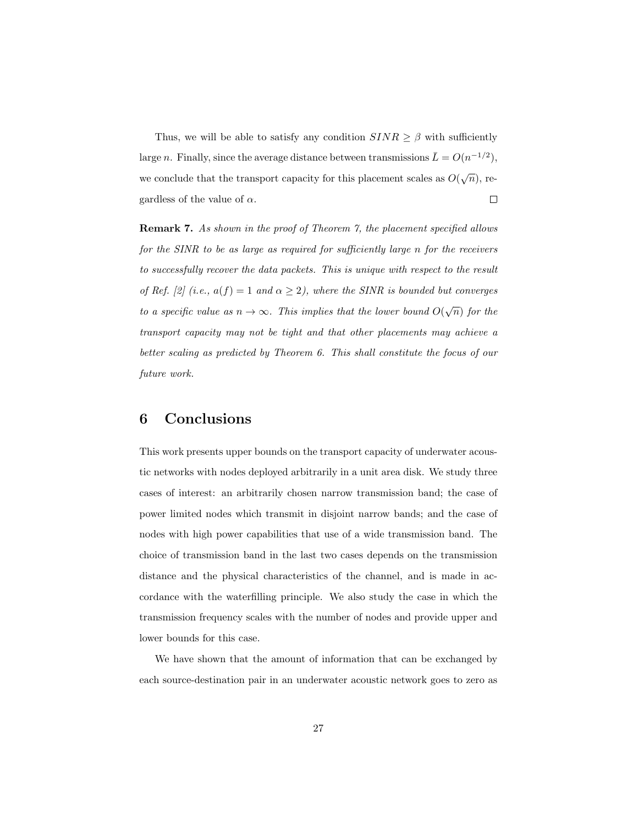Thus, we will be able to satisfy any condition  $SINR \geq \beta$  with sufficiently large *n*. Finally, since the average distance between transmissions  $\bar{L} = O(n^{-1/2}),$ we conclude that the transport capacity for this placement scales as  $O(\sqrt{n})$ , regardless of the value of  $\alpha$ .  $\Box$ 

Remark 7. As shown in the proof of Theorem 7, the placement specified allows for the SINR to be as large as required for sufficiently large n for the receivers to successfully recover the data packets. This is unique with respect to the result of Ref. [2] (i.e.,  $a(f) = 1$  and  $\alpha \geq 2$ ), where the SINR is bounded but converges to a specific value as  $n \to \infty$ . This implies that the lower bound  $O(\sqrt{n})$  for the transport capacity may not be tight and that other placements may achieve a better scaling as predicted by Theorem 6. This shall constitute the focus of our future work.

## 6 Conclusions

This work presents upper bounds on the transport capacity of underwater acoustic networks with nodes deployed arbitrarily in a unit area disk. We study three cases of interest: an arbitrarily chosen narrow transmission band; the case of power limited nodes which transmit in disjoint narrow bands; and the case of nodes with high power capabilities that use of a wide transmission band. The choice of transmission band in the last two cases depends on the transmission distance and the physical characteristics of the channel, and is made in accordance with the waterfilling principle. We also study the case in which the transmission frequency scales with the number of nodes and provide upper and lower bounds for this case.

We have shown that the amount of information that can be exchanged by each source-destination pair in an underwater acoustic network goes to zero as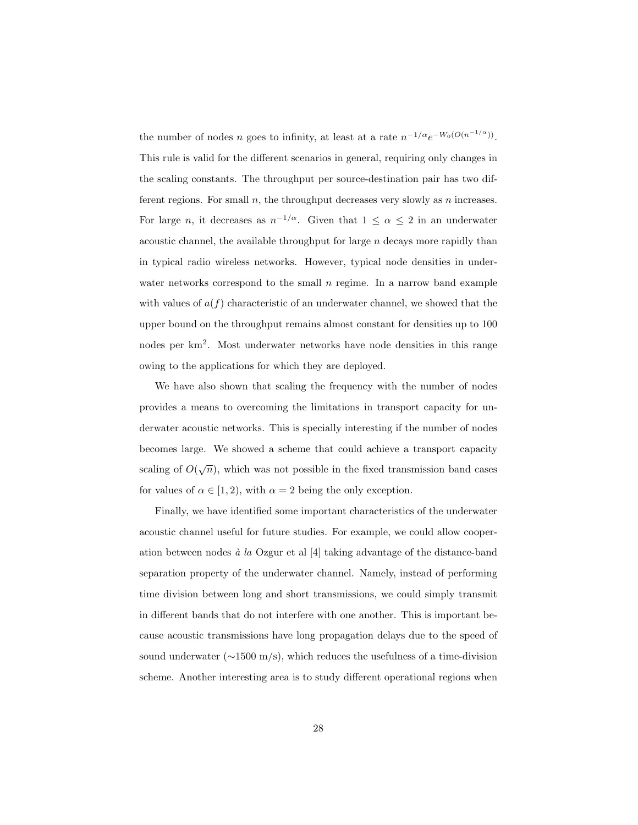the number of nodes *n* goes to infinity, at least at a rate  $n^{-1/\alpha}e^{-W_0(O(n^{-1/\alpha}))}$ . This rule is valid for the different scenarios in general, requiring only changes in the scaling constants. The throughput per source-destination pair has two different regions. For small  $n$ , the throughput decreases very slowly as  $n$  increases. For large *n*, it decreases as  $n^{-1/\alpha}$ . Given that  $1 \leq \alpha \leq 2$  in an underwater acoustic channel, the available throughput for large  $n$  decays more rapidly than in typical radio wireless networks. However, typical node densities in underwater networks correspond to the small  $n$  regime. In a narrow band example with values of  $a(f)$  characteristic of an underwater channel, we showed that the upper bound on the throughput remains almost constant for densities up to 100 nodes per km<sup>2</sup>. Most underwater networks have node densities in this range owing to the applications for which they are deployed.

We have also shown that scaling the frequency with the number of nodes provides a means to overcoming the limitations in transport capacity for underwater acoustic networks. This is specially interesting if the number of nodes becomes large. We showed a scheme that could achieve a transport capacity scaling of  $O(\sqrt{n})$ , which was not possible in the fixed transmission band cases for values of  $\alpha \in [1, 2)$ , with  $\alpha = 2$  being the only exception.

Finally, we have identified some important characteristics of the underwater acoustic channel useful for future studies. For example, we could allow cooperation between nodes  $\dot{a}$  la Ozgur et al [4] taking advantage of the distance-band separation property of the underwater channel. Namely, instead of performing time division between long and short transmissions, we could simply transmit in different bands that do not interfere with one another. This is important because acoustic transmissions have long propagation delays due to the speed of sound underwater ( $\sim$ 1500 m/s), which reduces the usefulness of a time-division scheme. Another interesting area is to study different operational regions when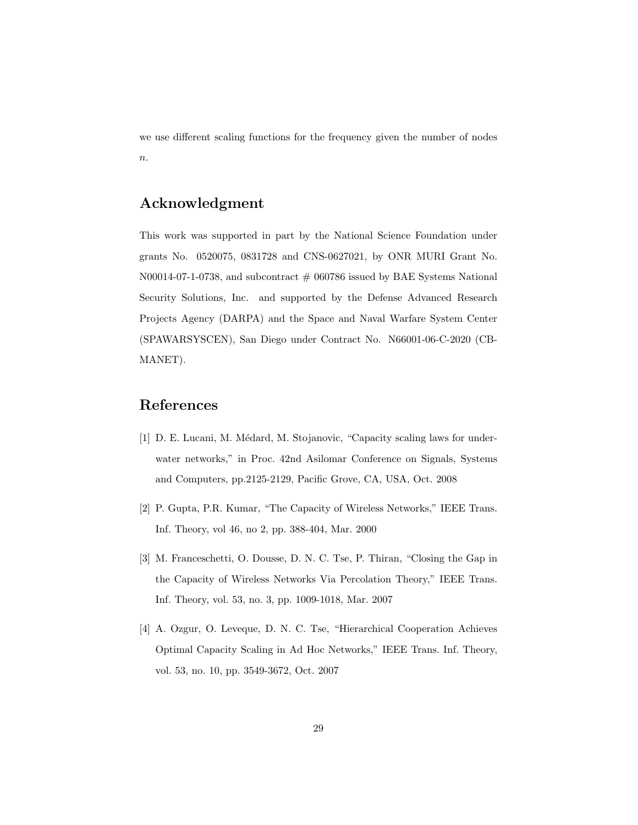we use different scaling functions for the frequency given the number of nodes  $\overline{n}$ .

## Acknowledgment

This work was supported in part by the National Science Foundation under grants No. 0520075, 0831728 and CNS-0627021, by ONR MURI Grant No. N00014-07-1-0738, and subcontract  $#$  060786 issued by BAE Systems National Security Solutions, Inc. and supported by the Defense Advanced Research Projects Agency (DARPA) and the Space and Naval Warfare System Center (SPAWARSYSCEN), San Diego under Contract No. N66001-06-C-2020 (CB-MANET).

## References

- [1] D. E. Lucani, M. Médard, M. Stojanovic, "Capacity scaling laws for underwater networks," in Proc. 42nd Asilomar Conference on Signals, Systems and Computers, pp.2125-2129, Pacific Grove, CA, USA, Oct. 2008
- [2] P. Gupta, P.R. Kumar, "The Capacity of Wireless Networks," IEEE Trans. Inf. Theory, vol 46, no 2, pp. 388-404, Mar. 2000
- [3] M. Franceschetti, O. Dousse, D. N. C. Tse, P. Thiran, "Closing the Gap in the Capacity of Wireless Networks Via Percolation Theory," IEEE Trans. Inf. Theory, vol. 53, no. 3, pp. 1009-1018, Mar. 2007
- [4] A. Ozgur, O. Leveque, D. N. C. Tse, "Hierarchical Cooperation Achieves Optimal Capacity Scaling in Ad Hoc Networks," IEEE Trans. Inf. Theory, vol. 53, no. 10, pp. 3549-3672, Oct. 2007